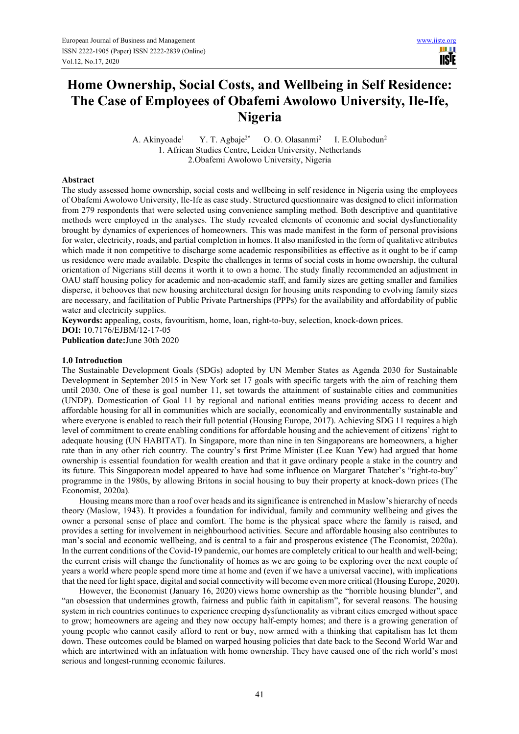III I **TISTE** 

# **Home Ownership, Social Costs, and Wellbeing in Self Residence: The Case of Employees of Obafemi Awolowo University, Ile-Ife, Nigeria**

A. Akinyoade<sup>1</sup> Y. T. Agbaje<sup>2\*</sup> O. O. Olasanmi<sup>2</sup> I. E.Olubodun<sup>2</sup> 1. African Studies Centre, Leiden University, Netherlands 2.Obafemi Awolowo University, Nigeria

### **Abstract**

The study assessed home ownership, social costs and wellbeing in self residence in Nigeria using the employees of Obafemi Awolowo University, Ile-Ife as case study. Structured questionnaire was designed to elicit information from 279 respondents that were selected using convenience sampling method. Both descriptive and quantitative methods were employed in the analyses. The study revealed elements of economic and social dysfunctionality brought by dynamics of experiences of homeowners. This was made manifest in the form of personal provisions for water, electricity, roads, and partial completion in homes. It also manifested in the form of qualitative attributes which made it non competitive to discharge some academic responsibilities as effective as it ought to be if camp us residence were made available. Despite the challenges in terms of social costs in home ownership, the cultural orientation of Nigerians still deems it worth it to own a home. The study finally recommended an adjustment in OAU staff housing policy for academic and non-academic staff, and family sizes are getting smaller and families disperse, it behooves that new housing architectural design for housing units responding to evolving family sizes are necessary, and facilitation of Public Private Partnerships (PPPs) for the availability and affordability of public water and electricity supplies.

**Keywords:** appealing, costs, favouritism, home, loan, right-to-buy, selection, knock-down prices. **DOI:** 10.7176/EJBM/12-17-05 **Publication date:**June 30th 2020

## **1.0 Introduction**

The Sustainable Development Goals (SDGs) adopted by UN Member States as Agenda 2030 for Sustainable Development in September 2015 in New York set 17 goals with specific targets with the aim of reaching them until 2030. One of these is goal number 11, set towards the attainment of sustainable cities and communities (UNDP). Domestication of Goal 11 by regional and national entities means providing access to decent and affordable housing for all in communities which are socially, economically and environmentally sustainable and where everyone is enabled to reach their full potential (Housing Europe, 2017). Achieving SDG 11 requires a high level of commitment to create enabling conditions for affordable housing and the achievement of citizens' right to adequate housing (UN HABITAT). In Singapore, more than nine in ten Singaporeans are homeowners, a higher rate than in any other rich country. The country's first Prime Minister (Lee Kuan Yew) had argued that home ownership is essential foundation for wealth creation and that it gave ordinary people a stake in the country and its future. This Singaporean model appeared to have had some influence on Margaret Thatcher's "right-to-buy" programme in the 1980s, by allowing Britons in social housing to buy their property at knock-down prices (The Economist, 2020a).

Housing means more than a roof over heads and its significance is entrenched in Maslow's hierarchy of needs theory (Maslow, 1943). It provides a foundation for individual, family and community wellbeing and gives the owner a personal sense of place and comfort. The home is the physical space where the family is raised, and provides a setting for involvement in neighbourhood activities. Secure and affordable housing also contributes to man's social and economic wellbeing, and is central to a fair and prosperous existence (The Economist, 2020a). In the current conditions of the Covid-19 pandemic, our homes are completely critical to our health and well-being; the current crisis will change the functionality of homes as we are going to be exploring over the next couple of years a world where people spend more time at home and (even if we have a universal vaccine), with implications that the need for light space, digital and social connectivity will become even more critical (Housing Europe, 2020).

However, the Economist (January 16, 2020) views home ownership as the "horrible housing blunder", and "an obsession that undermines growth, fairness and public faith in capitalism", for several reasons. The housing system in rich countries continues to experience creeping dysfunctionality as vibrant cities emerged without space to grow; homeowners are ageing and they now occupy half-empty homes; and there is a growing generation of young people who cannot easily afford to rent or buy, now armed with a thinking that capitalism has let them down. These outcomes could be blamed on warped housing policies that date back to the Second World War and which are intertwined with an infatuation with home ownership. They have caused one of the rich world's most serious and longest-running economic failures.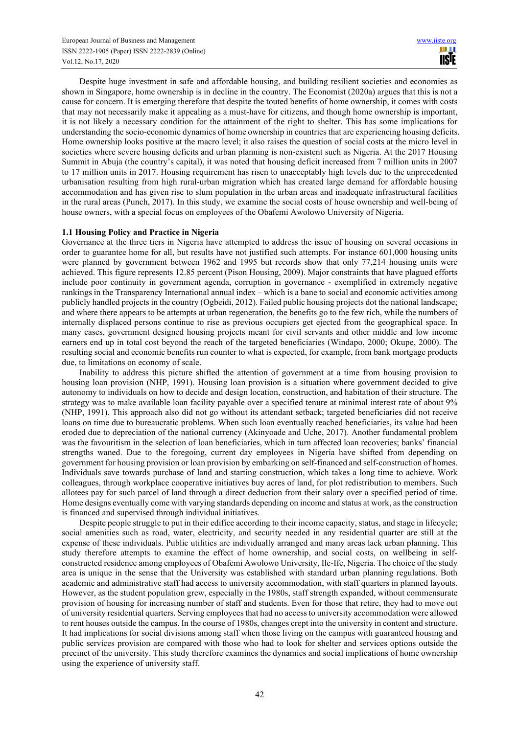Despite huge investment in safe and affordable housing, and building resilient societies and economies as shown in Singapore, home ownership is in decline in the country. The Economist (2020a) argues that this is not a cause for concern. It is emerging therefore that despite the touted benefits of home ownership, it comes with costs that may not necessarily make it appealing as a must-have for citizens, and though home ownership is important, it is not likely a necessary condition for the attainment of the right to shelter. This has some implications for understanding the socio-economic dynamics of home ownership in countries that are experiencing housing deficits. Home ownership looks positive at the macro level; it also raises the question of social costs at the micro level in societies where severe housing deficits and urban planning is non-existent such as Nigeria. At the 2017 Housing Summit in Abuja (the country's capital), it was noted that housing deficit increased from 7 million units in 2007 to 17 million units in 2017. Housing requirement has risen to unacceptably high levels due to the unprecedented urbanisation resulting from high rural-urban migration which has created large demand for affordable housing accommodation and has given rise to slum population in the urban areas and inadequate infrastructural facilities in the rural areas (Punch, 2017). In this study, we examine the social costs of house ownership and well-being of house owners, with a special focus on employees of the Obafemi Awolowo University of Nigeria.

# **1.1 Housing Policy and Practice in Nigeria**

Governance at the three tiers in Nigeria have attempted to address the issue of housing on several occasions in order to guarantee home for all, but results have not justified such attempts. For instance 601,000 housing units were planned by government between 1962 and 1995 but records show that only 77,214 housing units were achieved. This figure represents 12.85 percent (Pison Housing, 2009). Major constraints that have plagued efforts include poor continuity in government agenda, corruption in governance - exemplified in extremely negative rankings in the Transparency International annual index – which is a bane to social and economic activities among publicly handled projects in the country (Ogbeidi, 2012). Failed public housing projects dot the national landscape; and where there appears to be attempts at urban regeneration, the benefits go to the few rich, while the numbers of internally displaced persons continue to rise as previous occupiers get ejected from the geographical space. In many cases, government designed housing projects meant for civil servants and other middle and low income earners end up in total cost beyond the reach of the targeted beneficiaries (Windapo, 2000; Okupe, 2000). The resulting social and economic benefits run counter to what is expected, for example, from bank mortgage products due, to limitations on economy of scale.

Inability to address this picture shifted the attention of government at a time from housing provision to housing loan provision (NHP, 1991). Housing loan provision is a situation where government decided to give autonomy to individuals on how to decide and design location, construction, and habitation of their structure. The strategy was to make available loan facility payable over a specified tenure at minimal interest rate of about 9% (NHP, 1991). This approach also did not go without its attendant setback; targeted beneficiaries did not receive loans on time due to bureaucratic problems. When such loan eventually reached beneficiaries, its value had been eroded due to depreciation of the national currency (Akinyoade and Uche, 2017). Another fundamental problem was the favouritism in the selection of loan beneficiaries, which in turn affected loan recoveries; banks' financial strengths waned. Due to the foregoing, current day employees in Nigeria have shifted from depending on government for housing provision or loan provision by embarking on self-financed and self-construction of homes. Individuals save towards purchase of land and starting construction, which takes a long time to achieve. Work colleagues, through workplace cooperative initiatives buy acres of land, for plot redistribution to members. Such allotees pay for such parcel of land through a direct deduction from their salary over a specified period of time. Home designs eventually come with varying standards depending on income and status at work, as the construction is financed and supervised through individual initiatives.

Despite people struggle to put in their edifice according to their income capacity, status, and stage in lifecycle; social amenities such as road, water, electricity, and security needed in any residential quarter are still at the expense of these individuals. Public utilities are individually arranged and many areas lack urban planning. This study therefore attempts to examine the effect of home ownership, and social costs, on wellbeing in selfconstructed residence among employees of Obafemi Awolowo University, Ile-Ife, Nigeria. The choice of the study area is unique in the sense that the University was established with standard urban planning regulations. Both academic and administrative staff had access to university accommodation, with staff quarters in planned layouts. However, as the student population grew, especially in the 1980s, staff strength expanded, without commensurate provision of housing for increasing number of staff and students. Even for those that retire, they had to move out of university residential quarters. Serving employees that had no access to university accommodation were allowed to rent houses outside the campus. In the course of 1980s, changes crept into the university in content and structure. It had implications for social divisions among staff when those living on the campus with guaranteed housing and public services provision are compared with those who had to look for shelter and services options outside the precinct of the university. This study therefore examines the dynamics and social implications of home ownership using the experience of university staff.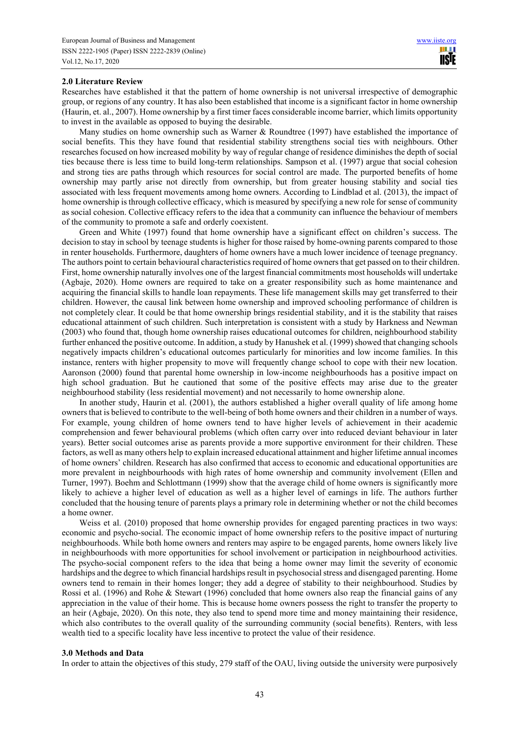#### **2.0 Literature Review**

Researches have established it that the pattern of home ownership is not universal irrespective of demographic group, or regions of any country. It has also been established that income is a significant factor in home ownership (Haurin, et. al., 2007). Home ownership by a first timer faces considerable income barrier, which limits opportunity to invest in the available as opposed to buying the desirable.

Many studies on home ownership such as Warner & Roundtree (1997) have established the importance of social benefits. This they have found that residential stability strengthens social ties with neighbours. Other researches focused on how increased mobility by way of regular change of residence diminishes the depth of social ties because there is less time to build long-term relationships. Sampson et al. (1997) argue that social cohesion and strong ties are paths through which resources for social control are made. The purported benefits of home ownership may partly arise not directly from ownership, but from greater housing stability and social ties associated with less frequent movements among home owners. According to Lindblad et al. (2013), the impact of home ownership is through collective efficacy, which is measured by specifying a new role for sense of community as social cohesion. Collective efficacy refers to the idea that a community can influence the behaviour of members of the community to promote a safe and orderly coexistent.

Green and White (1997) found that home ownership have a significant effect on children's success. The decision to stay in school by teenage students is higher for those raised by home-owning parents compared to those in renter households. Furthermore, daughters of home owners have a much lower incidence of teenage pregnancy. The authors point to certain behavioural characteristics required of home owners that get passed on to their children. First, home ownership naturally involves one of the largest financial commitments most households will undertake (Agbaje, 2020). Home owners are required to take on a greater responsibility such as home maintenance and acquiring the financial skills to handle loan repayments. These life management skills may get transferred to their children. However, the causal link between home ownership and improved schooling performance of children is not completely clear. It could be that home ownership brings residential stability, and it is the stability that raises educational attainment of such children. Such interpretation is consistent with a study by Harkness and Newman (2003) who found that, though home ownership raises educational outcomes for children, neighbourhood stability further enhanced the positive outcome. In addition, a study by Hanushek et al. (1999) showed that changing schools negatively impacts children's educational outcomes particularly for minorities and low income families. In this instance, renters with higher propensity to move will frequently change school to cope with their new location. Aaronson (2000) found that parental home ownership in low-income neighbourhoods has a positive impact on high school graduation. But he cautioned that some of the positive effects may arise due to the greater neighbourhood stability (less residential movement) and not necessarily to home ownership alone.

In another study, Haurin et al. (2001), the authors established a higher overall quality of life among home owners that is believed to contribute to the well-being of both home owners and their children in a number of ways. For example, young children of home owners tend to have higher levels of achievement in their academic comprehension and fewer behavioural problems (which often carry over into reduced deviant behaviour in later years). Better social outcomes arise as parents provide a more supportive environment for their children. These factors, as well as many others help to explain increased educational attainment and higher lifetime annual incomes of home owners' children. Research has also confirmed that access to economic and educational opportunities are more prevalent in neighbourhoods with high rates of home ownership and community involvement (Ellen and Turner, 1997). Boehm and Schlottmann (1999) show that the average child of home owners is significantly more likely to achieve a higher level of education as well as a higher level of earnings in life. The authors further concluded that the housing tenure of parents plays a primary role in determining whether or not the child becomes a home owner.

Weiss et al. (2010) proposed that home ownership provides for engaged parenting practices in two ways: economic and psycho-social. The economic impact of home ownership refers to the positive impact of nurturing neighbourhoods. While both home owners and renters may aspire to be engaged parents, home owners likely live in neighbourhoods with more opportunities for school involvement or participation in neighbourhood activities. The psycho-social component refers to the idea that being a home owner may limit the severity of economic hardships and the degree to which financial hardships result in psychosocial stress and disengaged parenting. Home owners tend to remain in their homes longer; they add a degree of stability to their neighbourhood. Studies by Rossi et al. (1996) and Rohe & Stewart (1996) concluded that home owners also reap the financial gains of any appreciation in the value of their home. This is because home owners possess the right to transfer the property to an heir (Agbaje, 2020). On this note, they also tend to spend more time and money maintaining their residence, which also contributes to the overall quality of the surrounding community (social benefits). Renters, with less wealth tied to a specific locality have less incentive to protect the value of their residence.

#### **3.0 Methods and Data**

In order to attain the objectives of this study, 279 staff of the OAU, living outside the university were purposively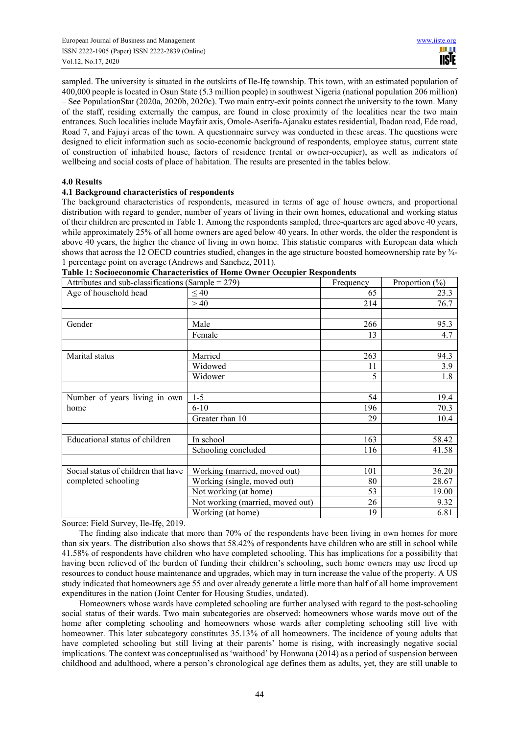sampled. The university is situated in the outskirts of Ile-Ifę township. This town, with an estimated population of 400,000 people is located in Osun State (5.3 million people) in southwest Nigeria (national population 206 million) – See PopulationStat (2020a, 2020b, 2020c). Two main entry-exit points connect the university to the town. Many of the staff, residing externally the campus, are found in close proximity of the localities near the two main entrances. Such localities include Mayfair axis, Omole-Aserifa-Ajanaku estates residential, Ibadan road, Ede road, Road 7, and Fajuyi areas of the town. A questionnaire survey was conducted in these areas. The questions were designed to elicit information such as socio-economic background of respondents, employee status, current state of construction of inhabited house, factors of residence (rental or owner-occupier), as well as indicators of wellbeing and social costs of place of habitation. The results are presented in the tables below.

# **4.0 Results**

# **4.1 Background characteristics of respondents**

The background characteristics of respondents, measured in terms of age of house owners, and proportional distribution with regard to gender, number of years of living in their own homes, educational and working status of their children are presented in Table 1. Among the respondents sampled, three-quarters are aged above 40 years, while approximately 25% of all home owners are aged below 40 years. In other words, the older the respondent is above 40 years, the higher the chance of living in own home. This statistic compares with European data which shows that across the 12 OECD countries studied, changes in the age structure boosted homeownership rate by ¾-1 percentage point on average (Andrews and Sanchez, 2011).

| Attributes and sub-classifications (Sample = $279$ ) |                                  | Frequency | Proportion $(\% )$ |
|------------------------------------------------------|----------------------------------|-----------|--------------------|
| Age of household head                                | $\leq 40$                        | 65        | 23.3               |
|                                                      | >40                              | 214       | 76.7               |
|                                                      |                                  |           |                    |
| Gender                                               | Male                             | 266       | 95.3               |
|                                                      | Female                           | 13        | 4.7                |
|                                                      |                                  |           |                    |
| Marital status                                       | Married                          | 263       | 94.3               |
|                                                      | Widowed                          | 11        | 3.9                |
|                                                      | Widower                          | 5         | 1.8                |
|                                                      |                                  |           |                    |
| Number of years living in own                        | $1 - 5$                          | 54        | 19.4               |
| home                                                 | $6 - 10$                         | 196       | 70.3               |
|                                                      | Greater than 10                  | 29        | 10.4               |
|                                                      |                                  |           |                    |
| Educational status of children                       | In school                        | 163       | 58.42              |
|                                                      | Schooling concluded              | 116       | 41.58              |
|                                                      |                                  |           |                    |
| Social status of children that have                  | Working (married, moved out)     | 101       | 36.20              |
| completed schooling                                  | Working (single, moved out)      | 80        | 28.67              |
|                                                      | Not working (at home)            | 53        | 19.00              |
|                                                      | Not working (married, moved out) | 26        | 9.32               |
|                                                      | Working (at home)                | 19        | 6.81               |

|  |  | Table 1: Socioeconomic Characteristics of Home Owner Occupier Respondents |  |  |  |  |  |
|--|--|---------------------------------------------------------------------------|--|--|--|--|--|
|--|--|---------------------------------------------------------------------------|--|--|--|--|--|

Source: Field Survey, Ile-Ifę, 2019.

The finding also indicate that more than 70% of the respondents have been living in own homes for more than six years. The distribution also shows that 58.42% of respondents have children who are still in school while 41.58% of respondents have children who have completed schooling. This has implications for a possibility that having been relieved of the burden of funding their children's schooling, such home owners may use freed up resources to conduct house maintenance and upgrades, which may in turn increase the value of the property. A US study indicated that homeowners age 55 and over already generate a little more than half of all home improvement expenditures in the nation (Joint Center for Housing Studies, undated).

Homeowners whose wards have completed schooling are further analysed with regard to the post-schooling social status of their wards. Two main subcategories are observed: homeowners whose wards move out of the home after completing schooling and homeowners whose wards after completing schooling still live with homeowner. This later subcategory constitutes 35.13% of all homeowners. The incidence of young adults that have completed schooling but still living at their parents' home is rising, with increasingly negative social implications. The context was conceptualised as 'waithood' by Honwana (2014) as a period of suspension between childhood and adulthood, where a person's chronological age defines them as adults, yet, they are still unable to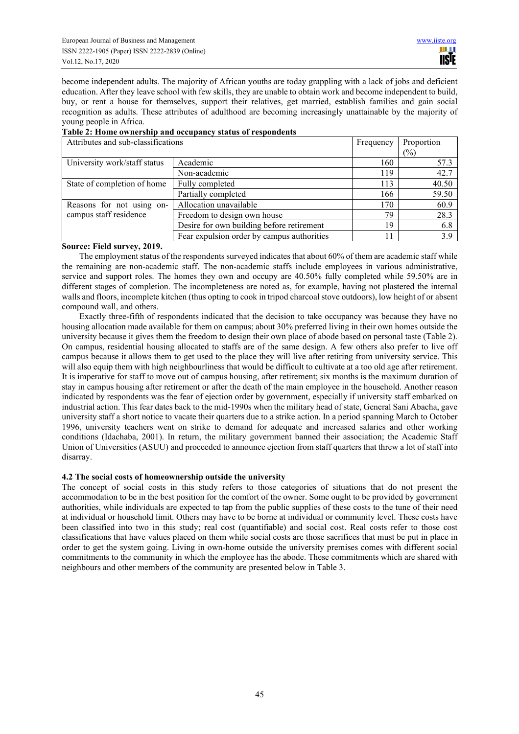become independent adults. The majority of African youths are today grappling with a lack of jobs and deficient education. After they leave school with few skills, they are unable to obtain work and become independent to build, buy, or rent a house for themselves, support their relatives, get married, establish families and gain social recognition as adults. These attributes of adulthood are becoming increasingly unattainable by the majority of young people in Africa.

## **Table 2: Home ownership and occupancy status of respondents**

| Attributes and sub-classifications |                                            | Frequency | Proportion |  |
|------------------------------------|--------------------------------------------|-----------|------------|--|
|                                    |                                            |           | $(\%)$     |  |
| University work/staff status       | Academic                                   | 160       | 57.3       |  |
|                                    | Non-academic                               | 119       | 42.7       |  |
| State of completion of home        | Fully completed                            | 113       | 40.50      |  |
|                                    | Partially completed                        | 166       | 59.50      |  |
| Reasons for not using on-          | Allocation unavailable                     | 170       | 60.9       |  |
| campus staff residence             | Freedom to design own house                | 79        | 28.3       |  |
|                                    | Desire for own building before retirement  | 19        | 6.8        |  |
|                                    | Fear expulsion order by campus authorities | 11        | 3.9        |  |

# **Source: Field survey, 2019.**

The employment status of the respondents surveyed indicates that about 60% of them are academic staff while the remaining are non-academic staff. The non-academic staffs include employees in various administrative, service and support roles. The homes they own and occupy are 40.50% fully completed while 59.50% are in different stages of completion. The incompleteness are noted as, for example, having not plastered the internal walls and floors, incomplete kitchen (thus opting to cook in tripod charcoal stove outdoors), low height of or absent compound wall, and others.

Exactly three-fifth of respondents indicated that the decision to take occupancy was because they have no housing allocation made available for them on campus; about 30% preferred living in their own homes outside the university because it gives them the freedom to design their own place of abode based on personal taste (Table 2). On campus, residential housing allocated to staffs are of the same design. A few others also prefer to live off campus because it allows them to get used to the place they will live after retiring from university service. This will also equip them with high neighbourliness that would be difficult to cultivate at a too old age after retirement. It is imperative for staff to move out of campus housing, after retirement; six months is the maximum duration of stay in campus housing after retirement or after the death of the main employee in the household. Another reason indicated by respondents was the fear of ejection order by government, especially if university staff embarked on industrial action. This fear dates back to the mid-1990s when the military head of state, General Sani Abacha, gave university staff a short notice to vacate their quarters due to a strike action. In a period spanning March to October 1996, university teachers went on strike to demand for adequate and increased salaries and other working conditions (Idachaba, 2001). In return, the military government banned their association; the Academic Staff Union of Universities (ASUU) and proceeded to announce ejection from staff quarters that threw a lot of staff into disarray.

# **4.2 The social costs of homeownership outside the university**

The concept of social costs in this study refers to those categories of situations that do not present the accommodation to be in the best position for the comfort of the owner. Some ought to be provided by government authorities, while individuals are expected to tap from the public supplies of these costs to the tune of their need at individual or household limit. Others may have to be borne at individual or community level. These costs have been classified into two in this study; real cost (quantifiable) and social cost. Real costs refer to those cost classifications that have values placed on them while social costs are those sacrifices that must be put in place in order to get the system going. Living in own-home outside the university premises comes with different social commitments to the community in which the employee has the abode. These commitments which are shared with neighbours and other members of the community are presented below in Table 3.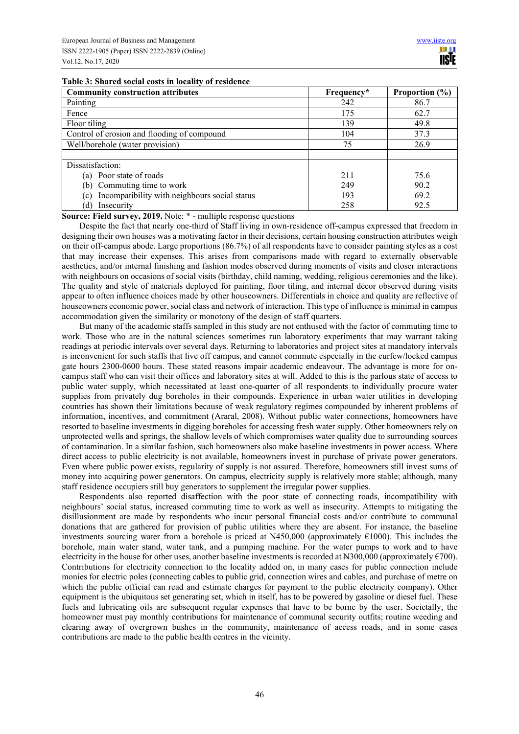#### **Table 3: Shared social costs in locality of residence**

| <b>Community construction attributes</b>             | Frequency* | Proportion $(\% )$ |
|------------------------------------------------------|------------|--------------------|
| Painting                                             | 242        | 86.7               |
| Fence                                                | 175        | 62.7               |
| Floor tiling                                         | 139        | 49.8               |
| Control of erosion and flooding of compound          | 104        | 37.3               |
| Well/borehole (water provision)                      | 75         | 26.9               |
|                                                      |            |                    |
| Dissatisfaction:                                     |            |                    |
| (a) Poor state of roads                              | 211        | 75.6               |
| (b) Commuting time to work                           | 249        | 90.2               |
| Incompatibility with neighbours social status<br>(c) | 193        | 69.2               |
| (d)<br>Insecurity                                    | 258        | 92.5               |

**Source: Field survey, 2019.** Note: \* - multiple response questions

Despite the fact that nearly one-third of Staff living in own-residence off-campus expressed that freedom in designing their own houses was a motivating factor in their decisions, certain housing construction attributes weigh on their off-campus abode. Large proportions (86.7%) of all respondents have to consider painting styles as a cost that may increase their expenses. This arises from comparisons made with regard to externally observable aesthetics, and/or internal finishing and fashion modes observed during moments of visits and closer interactions with neighbours on occasions of social visits (birthday, child naming, wedding, religious ceremonies and the like). The quality and style of materials deployed for painting, floor tiling, and internal décor observed during visits appear to often influence choices made by other houseowners. Differentials in choice and quality are reflective of houseowners economic power, social class and network of interaction. This type of influence is minimal in campus accommodation given the similarity or monotony of the design of staff quarters.

But many of the academic staffs sampled in this study are not enthused with the factor of commuting time to work. Those who are in the natural sciences sometimes run laboratory experiments that may warrant taking readings at periodic intervals over several days. Returning to laboratories and project sites at mandatory intervals is inconvenient for such staffs that live off campus, and cannot commute especially in the curfew/locked campus gate hours 2300-0600 hours. These stated reasons impair academic endeavour. The advantage is more for oncampus staff who can visit their offices and laboratory sites at will. Added to this is the parlous state of access to public water supply, which necessitated at least one-quarter of all respondents to individually procure water supplies from privately dug boreholes in their compounds. Experience in urban water utilities in developing countries has shown their limitations because of weak regulatory regimes compounded by inherent problems of information, incentives, and commitment (Araral, 2008). Without public water connections, homeowners have resorted to baseline investments in digging boreholes for accessing fresh water supply. Other homeowners rely on unprotected wells and springs, the shallow levels of which compromises water quality due to surrounding sources of contamination. In a similar fashion, such homeowners also make baseline investments in power access. Where direct access to public electricity is not available, homeowners invest in purchase of private power generators. Even where public power exists, regularity of supply is not assured. Therefore, homeowners still invest sums of money into acquiring power generators. On campus, electricity supply is relatively more stable; although, many staff residence occupiers still buy generators to supplement the irregular power supplies.

Respondents also reported disaffection with the poor state of connecting roads, incompatibility with neighbours' social status, increased commuting time to work as well as insecurity. Attempts to mitigating the disillusionment are made by respondents who incur personal financial costs and/or contribute to communal donations that are gathered for provision of public utilities where they are absent. For instance, the baseline investments sourcing water from a borehole is priced at  $N450,000$  (approximately  $€1000$ ). This includes the borehole, main water stand, water tank, and a pumping machine. For the water pumps to work and to have electricity in the house for other uses, another baseline investments is recorded at  $\text{H}300,000$  (approximately  $\epsilon$ 700). Contributions for electricity connection to the locality added on, in many cases for public connection include monies for electric poles (connecting cables to public grid, connection wires and cables, and purchase of metre on which the public official can read and estimate charges for payment to the public electricity company). Other equipment is the ubiquitous set generating set, which in itself, has to be powered by gasoline or diesel fuel. These fuels and lubricating oils are subsequent regular expenses that have to be borne by the user. Societally, the homeowner must pay monthly contributions for maintenance of communal security outfits; routine weeding and clearing away of overgrown bushes in the community, maintenance of access roads, and in some cases contributions are made to the public health centres in the vicinity.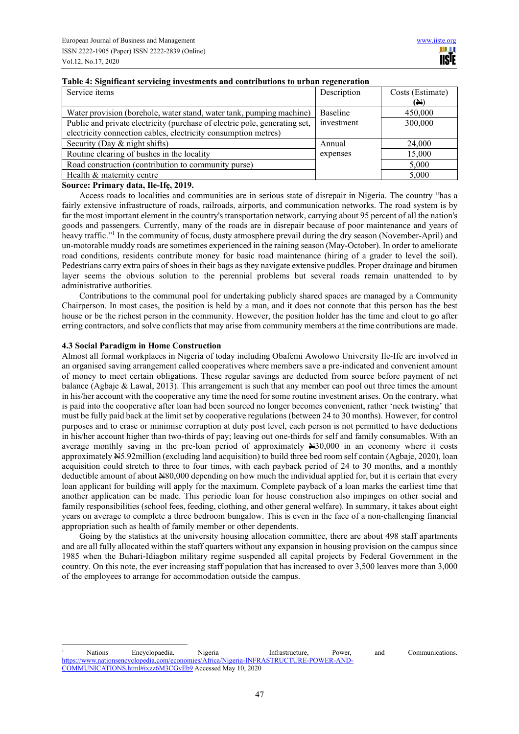# **Table 4: Significant servicing investments and contributions to urban regeneration**

| Service items                                                              | Description | Costs (Estimate) |
|----------------------------------------------------------------------------|-------------|------------------|
|                                                                            |             | (N)              |
| Water provision (borehole, water stand, water tank, pumping machine)       | Baseline    | 450,000          |
| Public and private electricity (purchase of electric pole, generating set, | investment  | 300,000          |
| electricity connection cables, electricity consumption metres)             |             |                  |
| Security (Day & night shifts)                                              | Annual      | 24,000           |
| Routine clearing of bushes in the locality                                 | expenses    | 15,000           |
| Road construction (contribution to community purse)                        |             | 5,000            |
| Health & maternity centre                                                  |             | 5,000            |

#### **Source: Primary data, Ile-Ifę, 2019.**

Access roads to localities and communities are in serious state of disrepair in Nigeria. The country "has a fairly extensive infrastructure of roads, railroads, airports, and communication networks. The road system is by far the most important element in the country's transportation network, carrying about 95 percent of all the nation's goods and passengers. Currently, many of the roads are in disrepair because of poor maintenance and years of heavy traffic."<sup>1</sup> In the community of focus, dusty atmosphere prevail during the dry season (November-April) and un-motorable muddy roads are sometimes experienced in the raining season (May-October). In order to ameliorate road conditions, residents contribute money for basic road maintenance (hiring of a grader to level the soil). Pedestrians carry extra pairs of shoes in their bags as they navigate extensive puddles. Proper drainage and bitumen layer seems the obvious solution to the perennial problems but several roads remain unattended to by administrative authorities.

Contributions to the communal pool for undertaking publicly shared spaces are managed by a Community Chairperson. In most cases, the position is held by a man, and it does not connote that this person has the best house or be the richest person in the community. However, the position holder has the time and clout to go after erring contractors, and solve conflicts that may arise from community members at the time contributions are made.

# **4.3 Social Paradigm in Home Construction**

Almost all formal workplaces in Nigeria of today including Obafemi Awolowo University Ile-Ife are involved in an organised saving arrangement called cooperatives where members save a pre-indicated and convenient amount of money to meet certain obligations. These regular savings are deducted from source before payment of net balance (Agbaje & Lawal, 2013). This arrangement is such that any member can pool out three times the amount in his/her account with the cooperative any time the need for some routine investment arises. On the contrary, what is paid into the cooperative after loan had been sourced no longer becomes convenient, rather 'neck twisting' that must be fully paid back at the limit set by cooperative regulations (between 24 to 30 months). However, for control purposes and to erase or minimise corruption at duty post level, each person is not permitted to have deductions in his/her account higher than two-thirds of pay; leaving out one-thirds for self and family consumables. With an average monthly saving in the pre-loan period of approximately N30,000 in an economy where it costs approximately N5.92million (excluding land acquisition) to build three bed room self contain (Agbaje, 2020), loan acquisition could stretch to three to four times, with each payback period of 24 to 30 months, and a monthly deductible amount of about N80,000 depending on how much the individual applied for, but it is certain that every loan applicant for building will apply for the maximum. Complete payback of a loan marks the earliest time that another application can be made. This periodic loan for house construction also impinges on other social and family responsibilities (school fees, feeding, clothing, and other general welfare). In summary, it takes about eight years on average to complete a three bedroom bungalow. This is even in the face of a non-challenging financial appropriation such as health of family member or other dependents.

Going by the statistics at the university housing allocation committee, there are about 498 staff apartments and are all fully allocated within the staff quarters without any expansion in housing provision on the campus since 1985 when the Buhari-Idiagbon military regime suspended all capital projects by Federal Government in the country. On this note, the ever increasing staff population that has increased to over 3,500 leaves more than 3,000 of the employees to arrange for accommodation outside the campus.

<sup>1</sup> Nations Encyclopaedia. Nigeria – Infrastructure, Power, and Communications. https://www.nationsencyclopedia.com/economies/Africa/Nigeria-INFRASTRUCTURE-POWER-AND-COMMUNICATIONS.html#ixzz6M3CGyEb9 Accessed May 10, 2020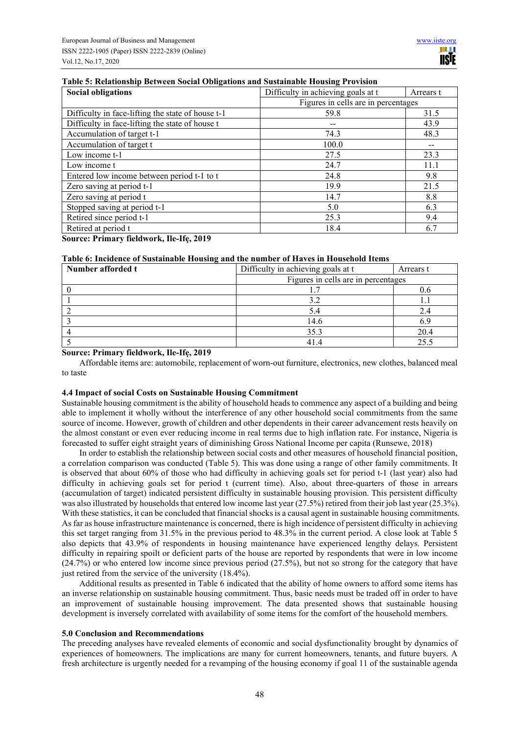# **Social obligations Social obligations Difficulty in achieving goals at t** Arrears t Figures in cells are in percentages Difficulty in face-lifting the state of house t-1 59.8 31.5 Difficulty in face-lifting the state of house t -- 43.9 Accumulation of target t-1 74.3 48.3 Accumulation of target t and the 100.0  $\qquad$  --Low income t-1 27.5 23.3 Low income t 24.7 11.1 Entered low income between period t-1 to t 24.8 24.8 9.8 Zero saving at period t-1  $19.9$  21.5 Zero saving at period t 14.7 8.8 Stopped saving at period t-1 5.0 6.3 Retired since period t-1 25.3 9.4 Retired at period t 18.4 6.7

# **Table 5: Relationship Between Social Obligations and Sustainable Housing Provision**

# **Source: Primary fieldwork, Ile-Ifę, 2019**

# **Table 6: Incidence of Sustainable Housing and the number of Haves in Household Items**

| Number afforded t | Difficulty in achieving goals at t  | Arrears t |  |
|-------------------|-------------------------------------|-----------|--|
|                   | Figures in cells are in percentages |           |  |
|                   |                                     |           |  |
|                   | 3.2                                 |           |  |
|                   |                                     |           |  |
|                   | 14.6                                |           |  |
|                   | 35.3                                | 20.4      |  |
|                   | 414                                 |           |  |

#### **Source: Primary fieldwork, Ile-Ifę, 2019**

Affordable items are: automobile, replacement of worn-out furniture, electronics, new clothes, balanced meal to taste

#### **4.4 Impact of social Costs on Sustainable Housing Commitment**

Sustainable housing commitment is the ability of household heads to commence any aspect of a building and being able to implement it wholly without the interference of any other household social commitments from the same source of income. However, growth of children and other dependents in their career advancement rests heavily on the almost constant or even ever reducing income in real terms due to high inflation rate. For instance, Nigeria is forecasted to suffer eight straight years of diminishing Gross National Income per capita (Runsewe, 2018)

In order to establish the relationship between social costs and other measures of household financial position, a correlation comparison was conducted (Table 5). This was done using a range of other family commitments. It is observed that about 60% of those who had difficulty in achieving goals set for period t-1 (last year) also had difficulty in achieving goals set for period t (current time). Also, about three-quarters of those in arrears (accumulation of target) indicated persistent difficulty in sustainable housing provision. This persistent difficulty was also illustrated by households that entered low income last year (27.5%) retired from their job last year (25.3%). With these statistics, it can be concluded that financial shocks is a causal agent in sustainable housing commitments. As far as house infrastructure maintenance is concerned, there is high incidence of persistent difficulty in achieving this set target ranging from 31.5% in the previous period to 48.3% in the current period. A close look at Table 5 also depicts that 43.9% of respondents in housing maintenance have experienced lengthy delays. Persistent difficulty in repairing spoilt or deficient parts of the house are reported by respondents that were in low income (24.7%) or who entered low income since previous period (27.5%), but not so strong for the category that have just retired from the service of the university (18.4%).

Additional results as presented in Table 6 indicated that the ability of home owners to afford some items has an inverse relationship on sustainable housing commitment. Thus, basic needs must be traded off in order to have an improvement of sustainable housing improvement. The data presented shows that sustainable housing development is inversely correlated with availability of some items for the comfort of the household members.

## **5.0 Conclusion and Recommendations**

The preceding analyses have revealed elements of economic and social dysfunctionality brought by dynamics of experiences of homeowners. The implications are many for current homeowners, tenants, and future buyers. A fresh architecture is urgently needed for a revamping of the housing economy if goal 11 of the sustainable agenda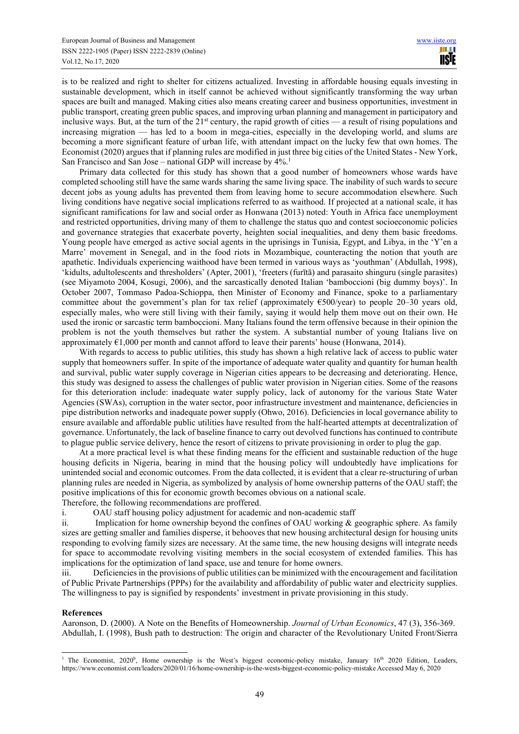is to be realized and right to shelter for citizens actualized. Investing in affordable housing equals investing in sustainable development, which in itself cannot be achieved without significantly transforming the way urban spaces are built and managed. Making cities also means creating career and business opportunities, investment in public transport, creating green public spaces, and improving urban planning and management in participatory and inclusive ways. But, at the turn of the  $21<sup>st</sup>$  century, the rapid growth of cities — a result of rising populations and increasing migration — has led to a boom in mega-cities, especially in the developing world, and slums are becoming a more significant feature of urban life, with attendant impact on the lucky few that own homes. The Economist (2020) argues that if planning rules are modified in just three big cities of the United States - New York, San Francisco and San Jose – national GDP will increase by 4%.<sup>1</sup>

Primary data collected for this study has shown that a good number of homeowners whose wards have completed schooling still have the same wards sharing the same living space. The inability of such wards to secure decent jobs as young adults has prevented them from leaving home to secure accommodation elsewhere. Such living conditions have negative social implications referred to as waithood. If projected at a national scale, it has significant ramifications for law and social order as Honwana (2013) noted: Youth in Africa face unemployment and restricted opportunities, driving many of them to challenge the status quo and contest socioeconomic policies and governance strategies that exacerbate poverty, heighten social inequalities, and deny them basic freedoms. Young people have emerged as active social agents in the uprisings in Tunisia, Egypt, and Libya, in the 'Y'en a Marre' movement in Senegal, and in the food riots in Mozambique, counteracting the notion that youth are apathetic. Individuals experiencing waithood have been termed in various ways as 'youthman' (Abdullah, 1998), 'kidults, adultolescents and thresholders' (Apter, 2001), 'freeters (furītā) and parasaito shinguru (single parasites) (see Miyamoto 2004, Kosugi, 2006), and the sarcastically denoted Italian 'bamboccioni (big dummy boys)'. In October 2007, Tommaso Padoa-Schioppa, then Minister of Economy and Finance, spoke to a parliamentary committee about the government's plan for tax relief (approximately  $\epsilon$ 500/year) to people 20–30 years old, especially males, who were still living with their family, saying it would help them move out on their own. He used the ironic or sarcastic term bamboccioni. Many Italians found the term offensive because in their opinion the problem is not the youth themselves but rather the system. A substantial number of young Italians live on approximately  $\epsilon$ 1,000 per month and cannot afford to leave their parents' house (Honwana, 2014).

With regards to access to public utilities, this study has shown a high relative lack of access to public water supply that homeowners suffer. In spite of the importance of adequate water quality and quantity for human health and survival, public water supply coverage in Nigerian cities appears to be decreasing and deteriorating. Hence, this study was designed to assess the challenges of public water provision in Nigerian cities. Some of the reasons for this deterioration include: inadequate water supply policy, lack of autonomy for the various State Water Agencies (SWAs), corruption in the water sector, poor infrastructure investment and maintenance, deficiencies in pipe distribution networks and inadequate power supply (Ohwo, 2016). Deficiencies in local governance ability to ensure available and affordable public utilities have resulted from the half-hearted attempts at decentralization of governance. Unfortunately, the lack of baseline finance to carry out devolved functions has continued to contribute to plague public service delivery, hence the resort of citizens to private provisioning in order to plug the gap.

At a more practical level is what these finding means for the efficient and sustainable reduction of the huge housing deficits in Nigeria, bearing in mind that the housing policy will undoubtedly have implications for unintended social and economic outcomes. From the data collected, it is evident that a clear re-structuring of urban planning rules are needed in Nigeria, as symbolized by analysis of home ownership patterns of the OAU staff; the positive implications of this for economic growth becomes obvious on a national scale.

Therefore, the following recommendations are proffered.

i. OAU staff housing policy adjustment for academic and non-academic staff

ii. Implication for home ownership beyond the confines of OAU working & geographic sphere. As family sizes are getting smaller and families disperse, it behooves that new housing architectural design for housing units responding to evolving family sizes are necessary. At the same time, the new housing designs will integrate needs for space to accommodate revolving visiting members in the social ecosystem of extended families. This has implications for the optimization of land space, use and tenure for home owners.

iii. Deficiencies in the provisions of public utilities can be minimized with the encouragement and facilitation of Public Private Partnerships (PPPs) for the availability and affordability of public water and electricity supplies. The willingness to pay is signified by respondents' investment in private provisioning in this study.

**References** 

Aaronson, D. (2000). A Note on the Benefits of Homeownership. *Journal of Urban Economics*, 47 (3), 356-369. Abdullah, I. (1998), Bush path to destruction: The origin and character of the Revolutionary United Front/Sierra

<sup>&</sup>lt;sup>1</sup> The Economist, 2020<sup>b</sup>, Home ownership is the West's biggest economic-policy mistake, January 16<sup>th</sup> 2020 Edition, Leaders, https://www.economist.com/leaders/2020/01/16/home-ownership-is-the-wests-biggest-economic-policy-mistake Accessed May 6, 2020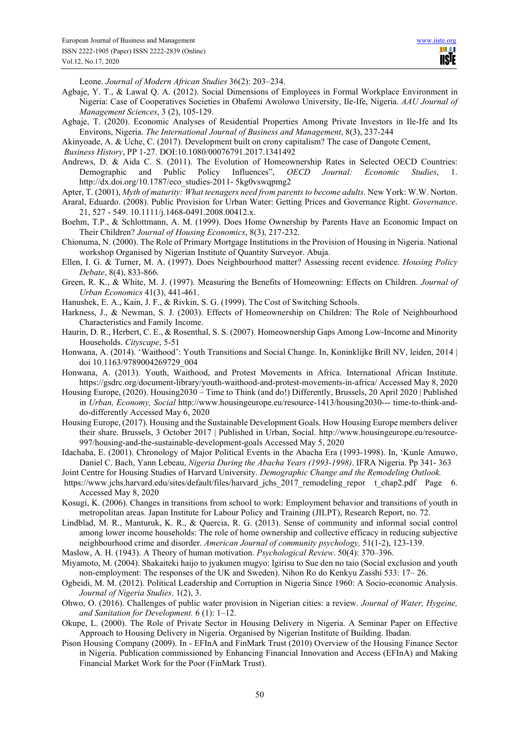III I **IISTE** 

Leone. *Journal of Modern African Studies* 36(2): 203–234.

- Agbaje, Y. T., & Lawal Q. A. (2012). Social Dimensions of Employees in Formal Workplace Environment in Nigeria: Case of Cooperatives Societies in Obafemi Awolowo University, Ile-Ife, Nigeria. *AAU Journal of Management Sciences*, 3 (2), 105-129.
- Agbaje, T. (2020). Economic Analyses of Residential Properties Among Private Investors in Ile-Ife and Its Environs, Nigeria. *The International Journal of Business and Management*, 8(3), 237-244
- Akinyoade, A. & Uche, C. (2017). Development built on crony capitalism? The case of Dangote Cement,

*Business History*, PP 1-27. DOI:10.1080/00076791.2017.1341492

Andrews, D. & Aida C. S. (2011). The Evolution of Homeownership Rates in Selected OECD Countries: Demographic and Public Policy Influences", *OECD Journal: Economic Studies*, 1. http://dx.doi.org/10.1787/eco\_studies-2011- 5kg0vswqpmg2

Apter, T. (2001), *Myth of maturity: What teenagers need from parents to become adults.* New York: W.W. Norton.

- Araral, Eduardo. (2008). Public Provision for Urban Water: Getting Prices and Governance Right. *Governance*. 21, 527 - 549. 10.1111/j.1468-0491.2008.00412.x.
- Boehm, T.P., & Schlottmann, A. M. (1999). Does Home Ownership by Parents Have an Economic Impact on Their Children? *Journal of Housing Economics*, 8(3), 217-232.
- Chionuma, N. (2000). The Role of Primary Mortgage Institutions in the Provision of Housing in Nigeria. National workshop Organised by Nigerian Institute of Quantity Surveyor. Abuja.
- Ellen, I. G. & Turner, M. A. (1997). Does Neighbourhood matter? Assessing recent evidence. *Housing Policy Debate*, 8(4), 833-866.
- Green, R. K., & White, M. J. (1997). Measuring the Benefits of Homeowning: Effects on Children. *Journal of Urban Economics* 41(3), 441-461.
- Hanushek, E. A., Kain, J. F., & Rivkin, S. G. (1999). The Cost of Switching Schools.
- Harkness, J., & Newman, S. J. (2003). Effects of Homeownership on Children: The Role of Neighbourhood Characteristics and Family Income.
- Haurin, D. R., Herbert, C. E., & Rosenthal, S. S. (2007). Homeownership Gaps Among Low-Income and Minority Households. *Cityscape*, 5-51
- Honwana, A. (2014). 'Waithood': Youth Transitions and Social Change. In, Koninklijke Brill NV, leiden, 2014 | doi 10.1163/9789004269729\_004
- Honwana, A. (2013). Youth, Waithood, and Protest Movements in Africa. International African Institute. https://gsdrc.org/document-library/youth-waithood-and-protest-movements-in-africa/ Accessed May 8, 2020
- Housing Europe, (2020). Housing2030 Time to Think (and do!) Differently, Brussels, 20 April 2020 | Published in *Urban, Economy, Social* http://www.housingeurope.eu/resource-1413/housing2030--- time-to-think-anddo-differently Accessed May 6, 2020
- Housing Europe, (2017). Housing and the Sustainable Development Goals. How Housing Europe members deliver their share. Brussels, 3 October 2017 | Published in Urban, Social. http://www.housingeurope.eu/resource-997/housing-and-the-sustainable-development-goals Accessed May 5, 2020
- Idachaba, E. (2001). Chronology of Major Political Events in the Abacha Era (1993-1998). In, 'Kunle Amuwo, Daniel C. Bach, Yann Lebeau, *Nigeria During the Abacha Years (1993-1998)*. IFRA Nigeria. Pp 341- 363
- Joint Centre for Housing Studies of Harvard University. *Demographic Change and the Remodeling Outlook.*
- https://www.jchs.harvard.edu/sites/default/files/harvard\_jchs\_2017\_remodeling\_repor\_t\_chap2.pdf Page 6. Accessed May 8, 2020
- Kosugi, K. (2006). Changes in transitions from school to work: Employment behavior and transitions of youth in metropolitan areas. Japan Institute for Labour Policy and Training (JILPT), Research Report, no. 72.
- Lindblad, M. R., Manturuk, K. R., & Quercia, R. G. (2013). Sense of community and informal social control among lower income households: The role of home ownership and collective efficacy in reducing subjective neighbourhood crime and disorder. *American Journal of community psychology,* 51(1-2), 123-139.
- Maslow, A. H. (1943). A Theory of human motivation. *Psychological Review*. 50(4): 370–396.
- Miyamoto, M. (2004). Shakaiteki haijo to jyakunen mugyo: Igirisu to Sue den no taio (Social exclusion and youth non-employment: The responses of the UK and Sweden). Nihon Ro do Kenkyu Zasshi 533: 17– 26.
- Ogbeidi, M. M. (2012). Political Leadership and Corruption in Nigeria Since 1960: A Socio-economic Analysis. *Journal of Nigeria Studies*. 1(2), 3.
- Ohwo, O. (2016). Challenges of public water provision in Nigerian cities: a review. *Journal of Water, Hygeine, and Sanitation for Development.* 6 (1): 1–12.
- Okupe, L. (2000). The Role of Private Sector in Housing Delivery in Nigeria. A Seminar Paper on Effective Approach to Housing Delivery in Nigeria. Organised by Nigerian Institute of Building. Ibadan.
- Pison Housing Company (2009). In EFInA and FinMark Trust (2010) Overview of the Housing Finance Sector in Nigeria. Publication commissioned by Enhancing Financial Innovation and Access (EFInA) and Making Financial Market Work for the Poor (FinMark Trust).